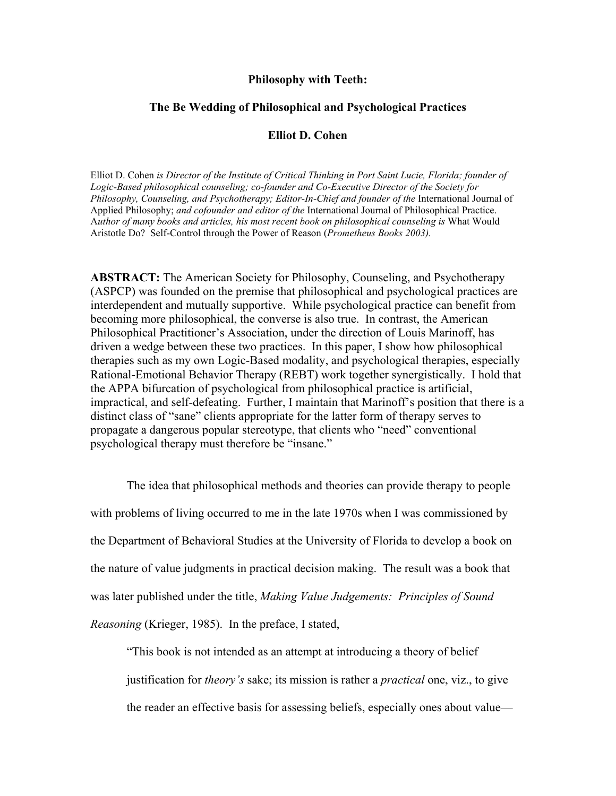## **Philosophy with Teeth:**

## **The Be Wedding of Philosophical and Psychological Practices**

## **Elliot D. Cohen**

Elliot D. Cohen *is Director of the Institute of Critical Thinking in Port Saint Lucie, Florida; founder of Logic-Based philosophical counseling; co-founder and Co-Executive Director of the Society for Philosophy, Counseling, and Psychotherapy; Editor-In-Chief and founder of the* International Journal of Applied Philosophy; *and cofounder and editor of the* International Journal of Philosophical Practice. A*uthor of many books and articles, his most recent book on philosophical counseling is* What Would Aristotle Do? Self-Control through the Power of Reason (*Prometheus Books 2003).* 

**ABSTRACT:** The American Society for Philosophy, Counseling, and Psychotherapy (ASPCP) was founded on the premise that philosophical and psychological practices are interdependent and mutually supportive. While psychological practice can benefit from becoming more philosophical, the converse is also true. In contrast, the American Philosophical Practitioner's Association, under the direction of Louis Marinoff, has driven a wedge between these two practices. In this paper, I show how philosophical therapies such as my own Logic-Based modality, and psychological therapies, especially Rational-Emotional Behavior Therapy (REBT) work together synergistically. I hold that the APPA bifurcation of psychological from philosophical practice is artificial, impractical, and self-defeating. Further, I maintain that Marinoff's position that there is a distinct class of "sane" clients appropriate for the latter form of therapy serves to propagate a dangerous popular stereotype, that clients who "need" conventional psychological therapy must therefore be "insane."

The idea that philosophical methods and theories can provide therapy to people with problems of living occurred to me in the late 1970s when I was commissioned by the Department of Behavioral Studies at the University of Florida to develop a book on the nature of value judgments in practical decision making. The result was a book that was later published under the title, *Making Value Judgements: Principles of Sound Reasoning* (Krieger, 1985). In the preface, I stated,

"This book is not intended as an attempt at introducing a theory of belief justification for *theory's* sake; its mission is rather a *practical* one, viz., to give the reader an effective basis for assessing beliefs, especially ones about value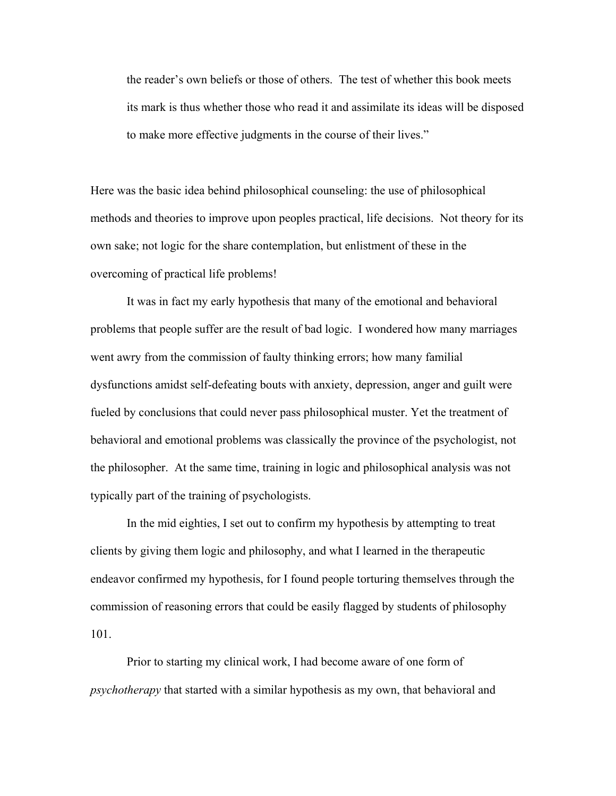the reader's own beliefs or those of others. The test of whether this book meets its mark is thus whether those who read it and assimilate its ideas will be disposed to make more effective judgments in the course of their lives."

Here was the basic idea behind philosophical counseling: the use of philosophical methods and theories to improve upon peoples practical, life decisions. Not theory for its own sake; not logic for the share contemplation, but enlistment of these in the overcoming of practical life problems!

 It was in fact my early hypothesis that many of the emotional and behavioral problems that people suffer are the result of bad logic. I wondered how many marriages went awry from the commission of faulty thinking errors; how many familial dysfunctions amidst self-defeating bouts with anxiety, depression, anger and guilt were fueled by conclusions that could never pass philosophical muster. Yet the treatment of behavioral and emotional problems was classically the province of the psychologist, not the philosopher. At the same time, training in logic and philosophical analysis was not typically part of the training of psychologists.

 In the mid eighties, I set out to confirm my hypothesis by attempting to treat clients by giving them logic and philosophy, and what I learned in the therapeutic endeavor confirmed my hypothesis, for I found people torturing themselves through the commission of reasoning errors that could be easily flagged by students of philosophy 101.

 Prior to starting my clinical work, I had become aware of one form of *psychotherapy* that started with a similar hypothesis as my own, that behavioral and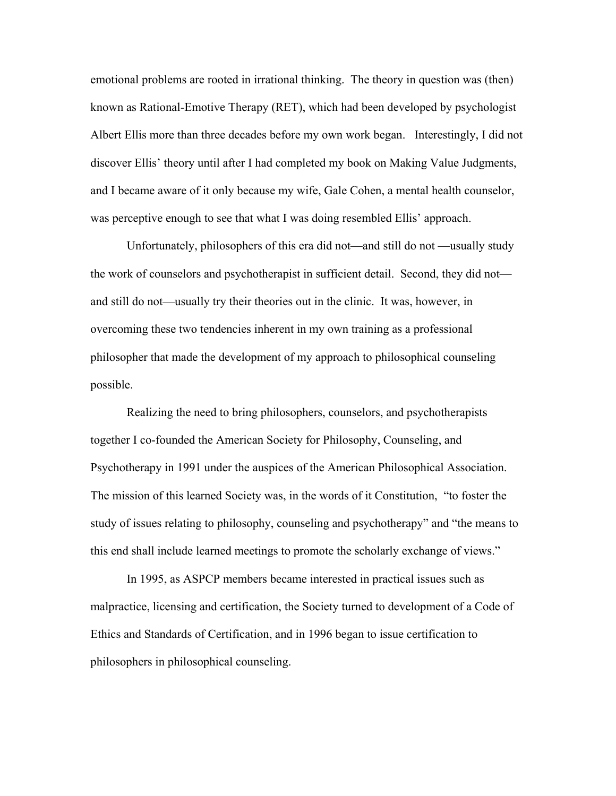emotional problems are rooted in irrational thinking. The theory in question was (then) known as Rational-Emotive Therapy (RET), which had been developed by psychologist Albert Ellis more than three decades before my own work began. Interestingly, I did not discover Ellis' theory until after I had completed my book on Making Value Judgments, and I became aware of it only because my wife, Gale Cohen, a mental health counselor, was perceptive enough to see that what I was doing resembled Ellis' approach.

 Unfortunately, philosophers of this era did not—and still do not —usually study the work of counselors and psychotherapist in sufficient detail. Second, they did not and still do not—usually try their theories out in the clinic. It was, however, in overcoming these two tendencies inherent in my own training as a professional philosopher that made the development of my approach to philosophical counseling possible.

 Realizing the need to bring philosophers, counselors, and psychotherapists together I co-founded the American Society for Philosophy, Counseling, and Psychotherapy in 1991 under the auspices of the American Philosophical Association. The mission of this learned Society was, in the words of it Constitution, "to foster the study of issues relating to philosophy, counseling and psychotherapy" and "the means to this end shall include learned meetings to promote the scholarly exchange of views."

 In 1995, as ASPCP members became interested in practical issues such as malpractice, licensing and certification, the Society turned to development of a Code of Ethics and Standards of Certification, and in 1996 began to issue certification to philosophers in philosophical counseling.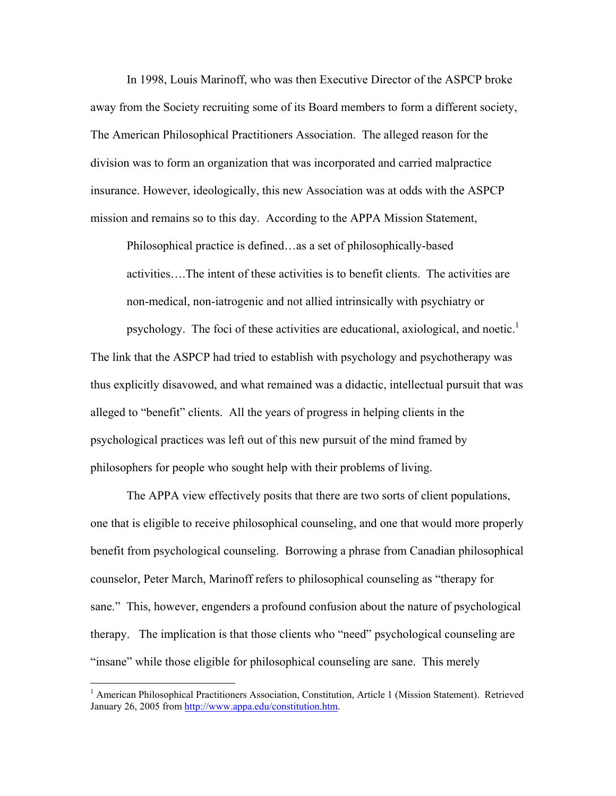In 1998, Louis Marinoff, who was then Executive Director of the ASPCP broke away from the Society recruiting some of its Board members to form a different society, The American Philosophical Practitioners Association. The alleged reason for the division was to form an organization that was incorporated and carried malpractice insurance. However, ideologically, this new Association was at odds with the ASPCP mission and remains so to this day. According to the APPA Mission Statement,

Philosophical practice is defined…as a set of philosophically-based activities….The intent of these activities is to benefit clients. The activities are non-medical, non-iatrogenic and not allied intrinsically with psychiatry or

psychology. The foci of these activities are educational, axiological, and noetic.<sup>1</sup> The link that the ASPCP had tried to establish with psychology and psychotherapy was thus explicitly disavowed, and what remained was a didactic, intellectual pursuit that was alleged to "benefit" clients. All the years of progress in helping clients in the psychological practices was left out of this new pursuit of the mind framed by philosophers for people who sought help with their problems of living.

 The APPA view effectively posits that there are two sorts of client populations, one that is eligible to receive philosophical counseling, and one that would more properly benefit from psychological counseling. Borrowing a phrase from Canadian philosophical counselor, Peter March, Marinoff refers to philosophical counseling as "therapy for sane." This, however, engenders a profound confusion about the nature of psychological therapy. The implication is that those clients who "need" psychological counseling are "insane" while those eligible for philosophical counseling are sane. This merely

1

<sup>&</sup>lt;sup>1</sup> American Philosophical Practitioners Association, Constitution, Article 1 (Mission Statement). Retrieved January 26, 2005 from http://www.appa.edu/constitution.htm.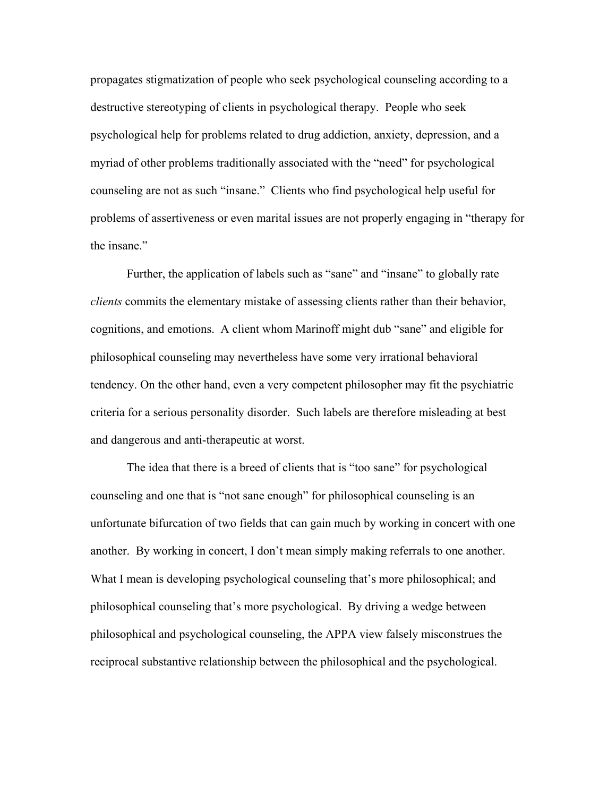propagates stigmatization of people who seek psychological counseling according to a destructive stereotyping of clients in psychological therapy. People who seek psychological help for problems related to drug addiction, anxiety, depression, and a myriad of other problems traditionally associated with the "need" for psychological counseling are not as such "insane." Clients who find psychological help useful for problems of assertiveness or even marital issues are not properly engaging in "therapy for the insane."

 Further, the application of labels such as "sane" and "insane" to globally rate *clients* commits the elementary mistake of assessing clients rather than their behavior, cognitions, and emotions. A client whom Marinoff might dub "sane" and eligible for philosophical counseling may nevertheless have some very irrational behavioral tendency. On the other hand, even a very competent philosopher may fit the psychiatric criteria for a serious personality disorder. Such labels are therefore misleading at best and dangerous and anti-therapeutic at worst.

 The idea that there is a breed of clients that is "too sane" for psychological counseling and one that is "not sane enough" for philosophical counseling is an unfortunate bifurcation of two fields that can gain much by working in concert with one another. By working in concert, I don't mean simply making referrals to one another. What I mean is developing psychological counseling that's more philosophical; and philosophical counseling that's more psychological. By driving a wedge between philosophical and psychological counseling, the APPA view falsely misconstrues the reciprocal substantive relationship between the philosophical and the psychological.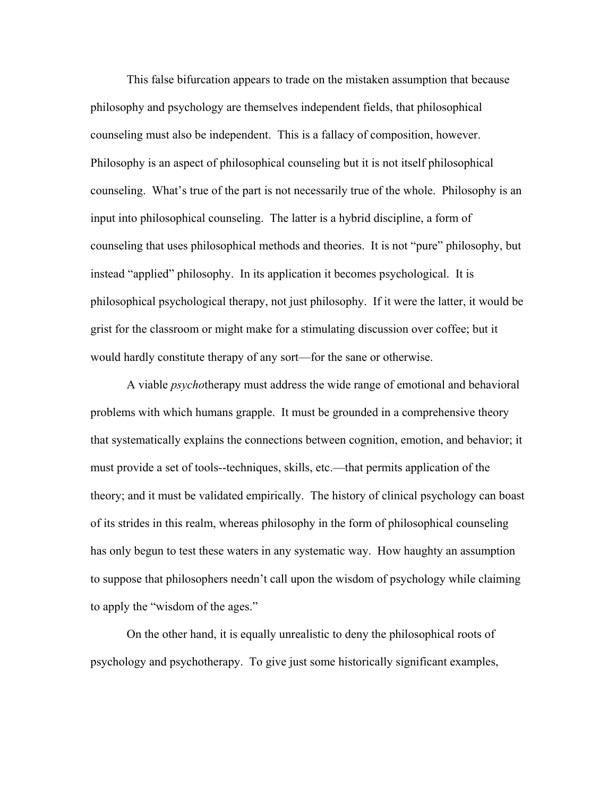This false bifurcation appears to trade on the mistaken assumption that because philosophy and psychology are themselves independent fields, that philosophical counseling must also be independent. This is a fallacy of composition, however. Philosophy is an aspect of philosophical counseling but it is not itself philosophical counseling. What's true of the part is not necessarily true of the whole. Philosophy is an input into philosophical counseling. The latter is a hybrid discipline, a form of counseling that uses philosophical methods and theories. It is not "pure" philosophy, but instead "applied" philosophy. In its application it becomes psychological. It is philosophical psychological therapy, not just philosophy. If it were the latter, it would be grist for the classroom or might make for a stimulating discussion over coffee; but it would hardly constitute therapy of any sort—for the sane or otherwise.

 A viable *psycho*therapy must address the wide range of emotional and behavioral problems with which humans grapple. It must be grounded in a comprehensive theory that systematically explains the connections between cognition, emotion, and behavior; it must provide a set of tools--techniques, skills, etc.—that permits application of the theory; and it must be validated empirically. The history of clinical psychology can boast of its strides in this realm, whereas philosophy in the form of philosophical counseling has only begun to test these waters in any systematic way. How haughty an assumption to suppose that philosophers needn't call upon the wisdom of psychology while claiming to apply the "wisdom of the ages."

 On the other hand, it is equally unrealistic to deny the philosophical roots of psychology and psychotherapy. To give just some historically significant examples,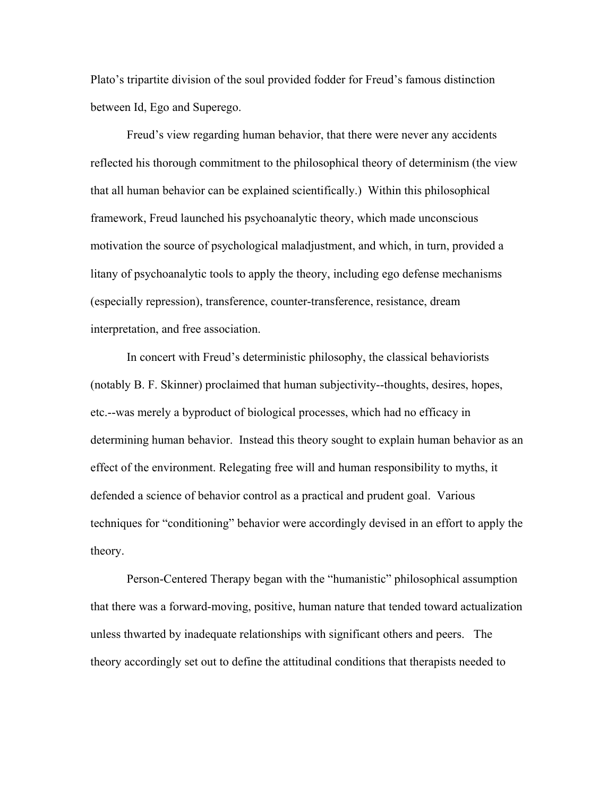Plato's tripartite division of the soul provided fodder for Freud's famous distinction between Id, Ego and Superego.

Freud's view regarding human behavior, that there were never any accidents reflected his thorough commitment to the philosophical theory of determinism (the view that all human behavior can be explained scientifically.) Within this philosophical framework, Freud launched his psychoanalytic theory, which made unconscious motivation the source of psychological maladjustment, and which, in turn, provided a litany of psychoanalytic tools to apply the theory, including ego defense mechanisms (especially repression), transference, counter-transference, resistance, dream interpretation, and free association.

In concert with Freud's deterministic philosophy, the classical behaviorists (notably B. F. Skinner) proclaimed that human subjectivity--thoughts, desires, hopes, etc.--was merely a byproduct of biological processes, which had no efficacy in determining human behavior. Instead this theory sought to explain human behavior as an effect of the environment. Relegating free will and human responsibility to myths, it defended a science of behavior control as a practical and prudent goal. Various techniques for "conditioning" behavior were accordingly devised in an effort to apply the theory.

 Person-Centered Therapy began with the "humanistic" philosophical assumption that there was a forward-moving, positive, human nature that tended toward actualization unless thwarted by inadequate relationships with significant others and peers. The theory accordingly set out to define the attitudinal conditions that therapists needed to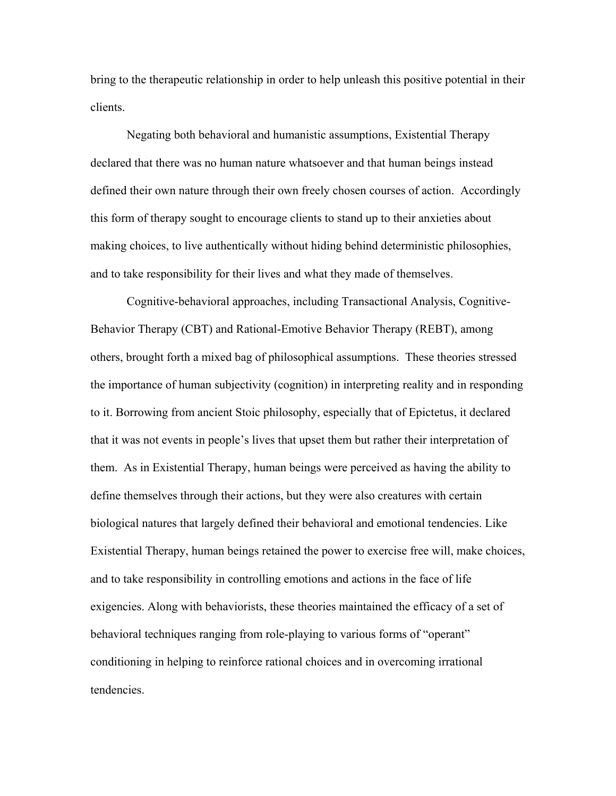bring to the therapeutic relationship in order to help unleash this positive potential in their clients.

 Negating both behavioral and humanistic assumptions, Existential Therapy declared that there was no human nature whatsoever and that human beings instead defined their own nature through their own freely chosen courses of action. Accordingly this form of therapy sought to encourage clients to stand up to their anxieties about making choices, to live authentically without hiding behind deterministic philosophies, and to take responsibility for their lives and what they made of themselves.

 Cognitive-behavioral approaches, including Transactional Analysis, Cognitive-Behavior Therapy (CBT) and Rational-Emotive Behavior Therapy (REBT), among others, brought forth a mixed bag of philosophical assumptions. These theories stressed the importance of human subjectivity (cognition) in interpreting reality and in responding to it. Borrowing from ancient Stoic philosophy, especially that of Epictetus, it declared that it was not events in people's lives that upset them but rather their interpretation of them. As in Existential Therapy, human beings were perceived as having the ability to define themselves through their actions, but they were also creatures with certain biological natures that largely defined their behavioral and emotional tendencies. Like Existential Therapy, human beings retained the power to exercise free will, make choices, and to take responsibility in controlling emotions and actions in the face of life exigencies. Along with behaviorists, these theories maintained the efficacy of a set of behavioral techniques ranging from role-playing to various forms of "operant" conditioning in helping to reinforce rational choices and in overcoming irrational tendencies.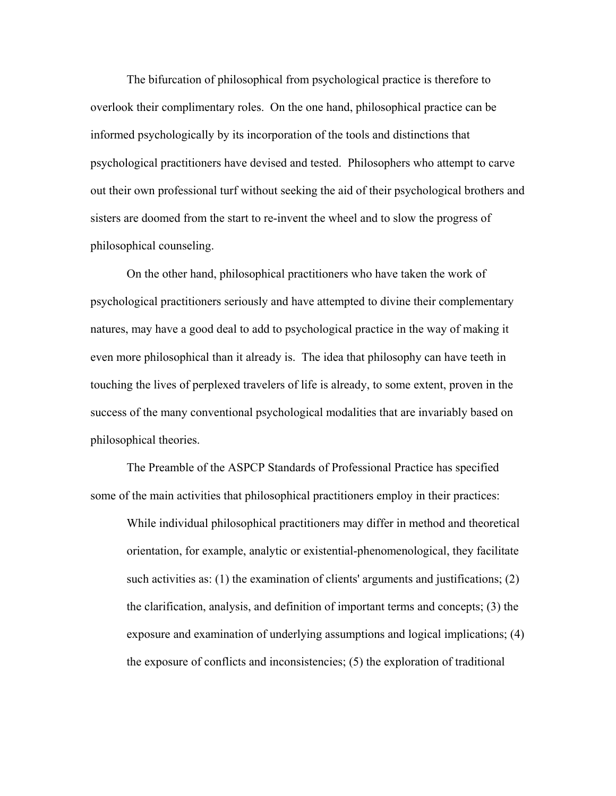The bifurcation of philosophical from psychological practice is therefore to overlook their complimentary roles. On the one hand, philosophical practice can be informed psychologically by its incorporation of the tools and distinctions that psychological practitioners have devised and tested. Philosophers who attempt to carve out their own professional turf without seeking the aid of their psychological brothers and sisters are doomed from the start to re-invent the wheel and to slow the progress of philosophical counseling.

 On the other hand, philosophical practitioners who have taken the work of psychological practitioners seriously and have attempted to divine their complementary natures, may have a good deal to add to psychological practice in the way of making it even more philosophical than it already is. The idea that philosophy can have teeth in touching the lives of perplexed travelers of life is already, to some extent, proven in the success of the many conventional psychological modalities that are invariably based on philosophical theories.

The Preamble of the ASPCP Standards of Professional Practice has specified some of the main activities that philosophical practitioners employ in their practices:

While individual philosophical practitioners may differ in method and theoretical orientation, for example, analytic or existential-phenomenological, they facilitate such activities as: (1) the examination of clients' arguments and justifications; (2) the clarification, analysis, and definition of important terms and concepts; (3) the exposure and examination of underlying assumptions and logical implications; (4) the exposure of conflicts and inconsistencies; (5) the exploration of traditional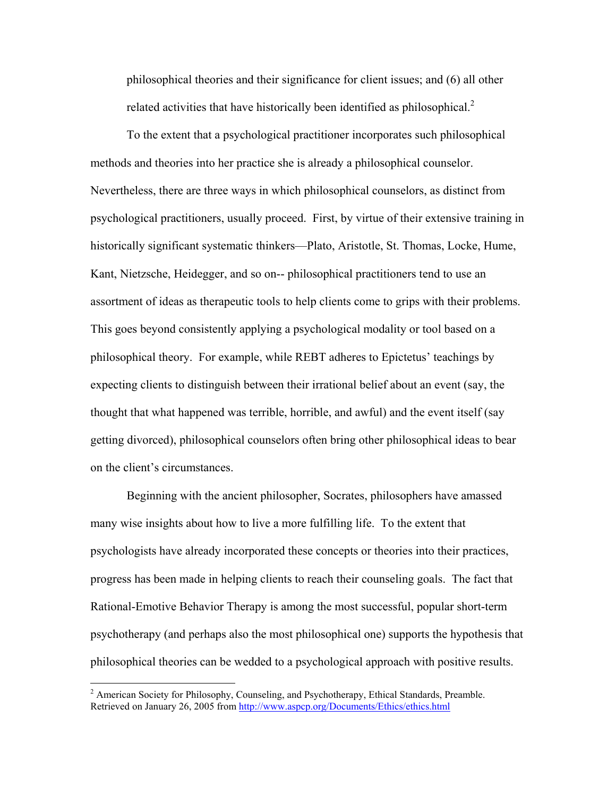philosophical theories and their significance for client issues; and (6) all other related activities that have historically been identified as philosophical.<sup>2</sup>

To the extent that a psychological practitioner incorporates such philosophical methods and theories into her practice she is already a philosophical counselor. Nevertheless, there are three ways in which philosophical counselors, as distinct from psychological practitioners, usually proceed. First, by virtue of their extensive training in historically significant systematic thinkers—Plato, Aristotle, St. Thomas, Locke, Hume, Kant, Nietzsche, Heidegger, and so on-- philosophical practitioners tend to use an assortment of ideas as therapeutic tools to help clients come to grips with their problems. This goes beyond consistently applying a psychological modality or tool based on a philosophical theory. For example, while REBT adheres to Epictetus' teachings by expecting clients to distinguish between their irrational belief about an event (say, the thought that what happened was terrible, horrible, and awful) and the event itself (say getting divorced), philosophical counselors often bring other philosophical ideas to bear on the client's circumstances.

Beginning with the ancient philosopher, Socrates, philosophers have amassed many wise insights about how to live a more fulfilling life. To the extent that psychologists have already incorporated these concepts or theories into their practices, progress has been made in helping clients to reach their counseling goals. The fact that Rational-Emotive Behavior Therapy is among the most successful, popular short-term psychotherapy (and perhaps also the most philosophical one) supports the hypothesis that philosophical theories can be wedded to a psychological approach with positive results.

 $\overline{a}$ 

<sup>&</sup>lt;sup>2</sup> American Society for Philosophy, Counseling, and Psychotherapy, Ethical Standards, Preamble. Retrieved on January 26, 2005 from http://www.aspcp.org/Documents/Ethics/ethics.html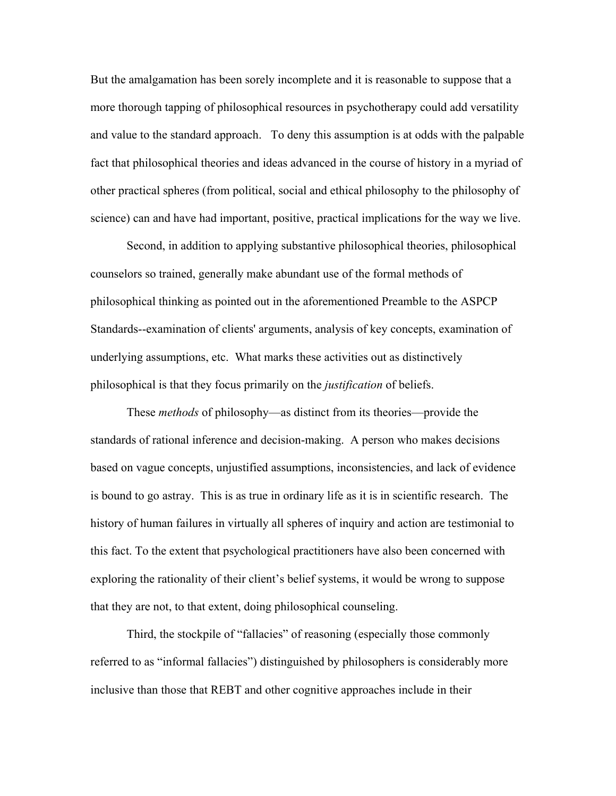But the amalgamation has been sorely incomplete and it is reasonable to suppose that a more thorough tapping of philosophical resources in psychotherapy could add versatility and value to the standard approach. To deny this assumption is at odds with the palpable fact that philosophical theories and ideas advanced in the course of history in a myriad of other practical spheres (from political, social and ethical philosophy to the philosophy of science) can and have had important, positive, practical implications for the way we live.

Second, in addition to applying substantive philosophical theories, philosophical counselors so trained, generally make abundant use of the formal methods of philosophical thinking as pointed out in the aforementioned Preamble to the ASPCP Standards--examination of clients' arguments, analysis of key concepts, examination of underlying assumptions, etc. What marks these activities out as distinctively philosophical is that they focus primarily on the *justification* of beliefs.

These *methods* of philosophy—as distinct from its theories—provide the standards of rational inference and decision-making. A person who makes decisions based on vague concepts, unjustified assumptions, inconsistencies, and lack of evidence is bound to go astray. This is as true in ordinary life as it is in scientific research. The history of human failures in virtually all spheres of inquiry and action are testimonial to this fact. To the extent that psychological practitioners have also been concerned with exploring the rationality of their client's belief systems, it would be wrong to suppose that they are not, to that extent, doing philosophical counseling.

 Third, the stockpile of "fallacies" of reasoning (especially those commonly referred to as "informal fallacies") distinguished by philosophers is considerably more inclusive than those that REBT and other cognitive approaches include in their